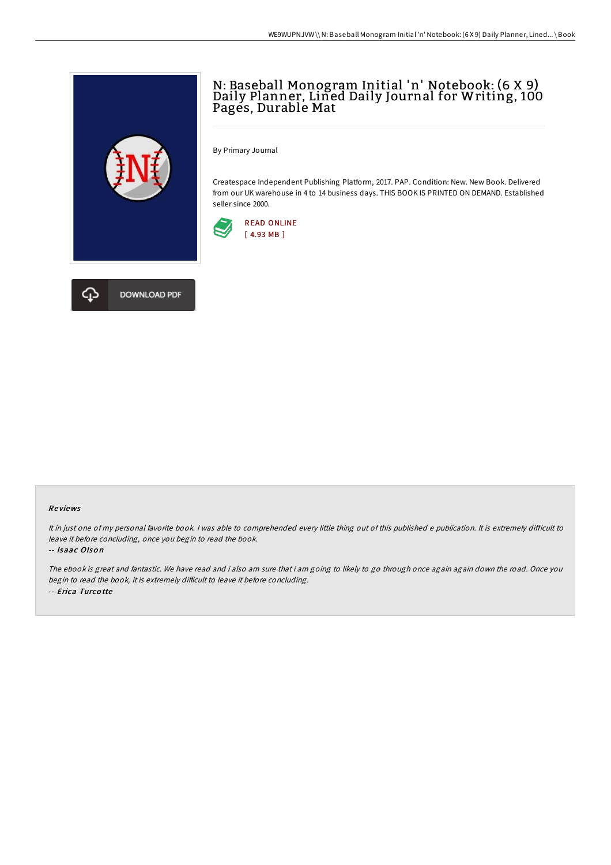## N: Baseball Monogram Initial 'n' Notebook: (6 X 9) Daily Planner, Lined Daily Journal for Writing, 100 Pages, Durable Mat

By Primary Journal

Createspace Independent Publishing Platform, 2017. PAP. Condition: New. New Book. Delivered from our UK warehouse in 4 to 14 business days. THIS BOOK IS PRINTED ON DEMAND. Established seller since 2000.





## Re views

It in just one of my personal favorite book. I was able to comprehended every little thing out of this published e publication. It is extremely difficult to leave it before concluding, once you begin to read the book.

-- Isaac Olson

The ebook is great and fantastic. We have read and i also am sure that i am going to likely to go through once again again down the road. Once you begin to read the book, it is extremely difficult to leave it before concluding. -- Erica Turco tte